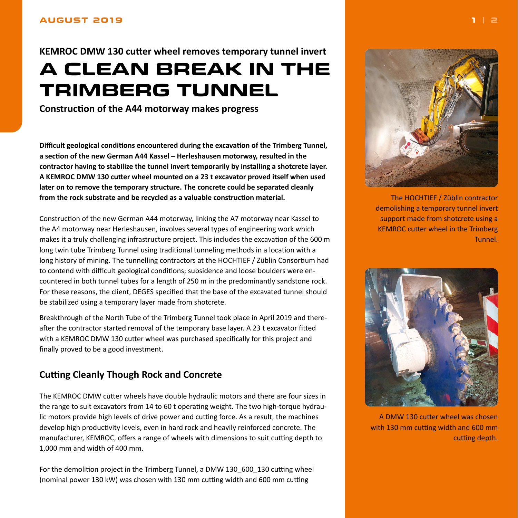### <span id="page-0-0"></span>**AUGUST 2019**

# **KEMROC DMW 130 cutter wheel removes temporary tunnel invert A CLEAN BREAK IN THE TRIMBERG TUNNEL**

**Construction of the A44 motorway makes progress**

**Difficult geological conditions encountered during the excavation of the Trimberg Tunnel, a section of the new German A44 Kassel – Herleshausen motorway, resulted in the contractor having to stabilize the tunnel invert temporarily by installing a shotcrete layer. A KEMROC DMW 130 cutter wheel mounted on a 23 t excavator proved itself when used later on to remove the temporary structure. The concrete could be separated cleanly from the rock substrate and be recycled as a valuable construction material.**

Construction of the new German A44 motorway, linking the A7 motorway near Kassel to the A4 motorway near Herleshausen, involves several types of engineering work which makes it a truly challenging infrastructure project. This includes the excavation of the 600 m long twin tube Trimberg Tunnel using traditional tunneling methods in a location with a long history of mining. The tunnelling contractors at the HOCHTIEF / Züblin Consortium had to contend with difficult geological conditions; subsidence and loose boulders were encountered in both tunnel tubes for a length of 250 m in the predominantly sandstone rock. For these reasons, the client, DEGES specified that the base of the excavated tunnel should be stabilized using a temporary layer made from shotcrete.

Breakthrough of the North Tube of the Trimberg Tunnel took place in April 2019 and thereafter the contractor started removal of the temporary base layer. A 23 t excavator fitted with a KEMROC DMW 130 cutter wheel was purchased specifically for this project and finally proved to be a good investment.

## **Cutting Cleanly Though Rock and Concrete**

The KEMROC DMW cutter wheels have double hydraulic motors and there are four sizes in the range to suit excavators from 14 to 60 t operating weight. The two high-torque hydraulic motors provide high levels of drive power and cutting force. As a result, the machines develop high productivity levels, even in hard rock and heavily reinforced concrete. The manufacturer, KEMROC, offers a range of wheels with dimensions to suit cutting depth to 1,000 mm and width of 400 mm.

For the demolition project in the Trimberg Tunnel, a DMW 130 600 130 cutting wheel (nominal power 130 kW) was chosen with 130 mm cutting width and 600 mm cutting



The HOCHTIEF / Züblin contractor demolishing a temporary tunnel invert support made from shotcrete using a KEMROC cutter wheel in the Trimberg Tunnel.



A DMW 130 cutter wheel was chosen with 130 mm cutting width and 600 mm cutting depth.